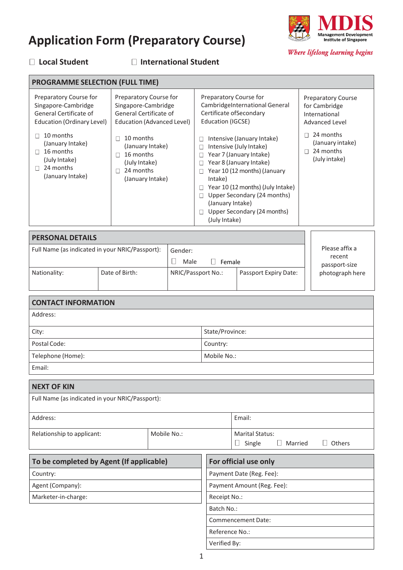# **Application Form (Preparatory Course)**



Where lifelong learning begins

## **Local Student International Student**

| <b>PROGRAMME SELECTION (FULL TIME)</b>                                                                                                                                                                          |                                                                                                                                                                                                       |                                                                                                                                                                                                                                                                                                                                                                                                                                                                 |                                                                                                                                                   |  |
|-----------------------------------------------------------------------------------------------------------------------------------------------------------------------------------------------------------------|-------------------------------------------------------------------------------------------------------------------------------------------------------------------------------------------------------|-----------------------------------------------------------------------------------------------------------------------------------------------------------------------------------------------------------------------------------------------------------------------------------------------------------------------------------------------------------------------------------------------------------------------------------------------------------------|---------------------------------------------------------------------------------------------------------------------------------------------------|--|
| Preparatory Course for<br>Singapore-Cambridge<br>General Certificate of<br>Education (Ordinary Level)<br>10 months<br>(January Intake)<br>16 months<br>П<br>(July Intake)<br>24 months<br>П<br>(January Intake) | Preparatory Course for<br>Singapore-Cambridge<br>General Certificate of<br>Education (Advanced Level)<br>10 months<br>(January Intake)<br>16 months<br>(July Intake)<br>24 months<br>(January Intake) | Preparatory Course for<br>Cambridge International General<br>Certificate of Secondary<br>Education (IGCSE)<br>Intensive (January Intake)<br>П<br>Intensive (July Intake)<br>Ш<br>Year 7 (January Intake)<br>Year 8 (January Intake)<br>$\vert \ \ \vert$<br>Year 10 (12 months) (January<br>$\Box$<br>Intake)<br>Year 10 (12 months) (July Intake)<br>Upper Secondary (24 months)<br>(January Intake)<br>Upper Secondary (24 months)<br>$\Box$<br>(July Intake) | <b>Preparatory Course</b><br>for Cambridge<br>International<br>Advanced Level<br>24 months<br>(January intake)<br>24 months<br>П<br>(July intake) |  |
|                                                                                                                                                                                                                 |                                                                                                                                                                                                       |                                                                                                                                                                                                                                                                                                                                                                                                                                                                 |                                                                                                                                                   |  |

| <b>PERSONAL DETAILS</b>                         |  |                           |                       |                                  |  |
|-------------------------------------------------|--|---------------------------|-----------------------|----------------------------------|--|
| Full Name (as indicated in your NRIC/Passport): |  | Gender:<br>Male<br>Female |                       | Please affix a<br>recent         |  |
| Date of Birth:<br>Nationality:                  |  | NRIC/Passport No.:        | Passport Expiry Date: | passport-size<br>photograph here |  |

| <b>CONTACT INFORMATION</b> |                 |  |
|----------------------------|-----------------|--|
| Address:                   |                 |  |
| City:                      | State/Province: |  |
| Postal Code:               | Country:        |  |
| Telephone (Home):          | Mobile No.:     |  |
| Email:                     |                 |  |
|                            |                 |  |

| <b>NEXT OF KIN</b>                              |  |                                                       |  |  |
|-------------------------------------------------|--|-------------------------------------------------------|--|--|
| Full Name (as indicated in your NRIC/Passport): |  |                                                       |  |  |
| Address:                                        |  | Email:                                                |  |  |
| Relationship to applicant:<br>Mobile No.:       |  | <b>Marital Status:</b><br>Married<br>Others<br>Single |  |  |
|                                                 |  |                                                       |  |  |

| To be completed by Agent (If applicable) | For official use only      |
|------------------------------------------|----------------------------|
| Country:                                 | Payment Date (Reg. Fee):   |
| Agent (Company):                         | Payment Amount (Reg. Fee): |
| Marketer-in-charge:                      | Receipt No.:               |
|                                          | Batch No.:                 |
|                                          | <b>Commencement Date:</b>  |
|                                          | Reference No.:             |

Verified By: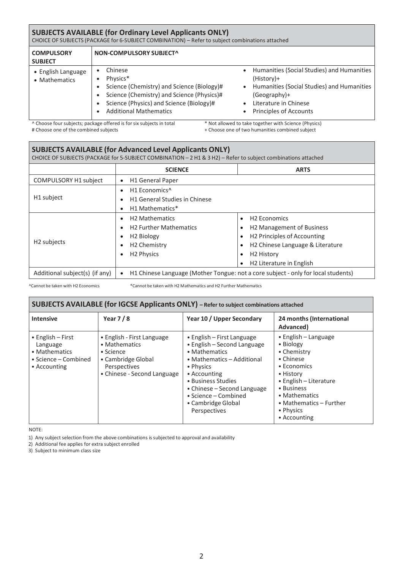### **SUBJECTS AVAILABLE (for Ordinary Level Applicants ONLY)**

CHOICE OF SUBJECTS (PACKAGE for 6-SUBJECT COMBINATION) – Refer to subject combinations attached

| <b>COMPULSORY</b><br><b>SUBJECT</b>         | NON-COMPULSORY SUBJECT^                                                                                                                                                                      |                                                                                                                                                                                                                                        |
|---------------------------------------------|----------------------------------------------------------------------------------------------------------------------------------------------------------------------------------------------|----------------------------------------------------------------------------------------------------------------------------------------------------------------------------------------------------------------------------------------|
| $\bullet$ English Language<br>• Mathematics | Chinese<br>Physics*<br>Science (Chemistry) and Science (Biology)#<br>Science (Chemistry) and Science (Physics)#<br>Science (Physics) and Science (Biology)#<br><b>Additional Mathematics</b> | Humanities (Social Studies) and Humanities<br>$\bullet$<br>$(History)+$<br>Humanities (Social Studies) and Humanities<br>$\bullet$<br>(Geography)+<br>Literature in Chinese<br>$\bullet$<br><b>Principles of Accounts</b><br>$\bullet$ |

^ Choose four subjects; package offered is for six subjects in total # Choose one of the combined subjects

\* Not allowed to take together with Science (Physics) + Choose one of two humanities combined subject

# **SUBJECTS AVAILABLE (for Advanced Level Applicants ONLY)** CHOICE OF SUBJECTS (PACKAGE for 5-SUBJECT COMBINATION – 2 H1 & 3 H2) – Refer to subject combinations attached **SCIENCE ARTS**

| <b>COMPULSORY H1 subject</b>   | H1 General Paper                                                                  |                                              |  |  |
|--------------------------------|-----------------------------------------------------------------------------------|----------------------------------------------|--|--|
|                                | H <sub>1</sub> Economics <sup>^</sup>                                             |                                              |  |  |
| H1 subject                     | <b>H1 General Studies in Chinese</b>                                              |                                              |  |  |
|                                | H1 Mathematics*                                                                   |                                              |  |  |
|                                | <b>H2 Mathematics</b>                                                             | H <sub>2</sub> Economics                     |  |  |
|                                | <b>H2 Further Mathematics</b>                                                     | H <sub>2</sub> Management of Business        |  |  |
|                                | H <sub>2</sub> Biology                                                            | H2 Principles of Accounting                  |  |  |
| H <sub>2</sub> subjects        | H <sub>2</sub> Chemistry                                                          | H <sub>2</sub> Chinese Language & Literature |  |  |
|                                | H <sub>2</sub> Physics                                                            | H <sub>2</sub> History<br>$\bullet$          |  |  |
|                                |                                                                                   | H <sub>2</sub> Literature in English         |  |  |
| Additional subject(s) (if any) | H1 Chinese Language (Mother Tongue: not a core subject - only for local students) |                                              |  |  |

^Cannot be taken with H2 Economics \*Cannot be taken with H2 Mathematics and H2 Further Mathematics

#### **SUBJECTS AVAILABLE (for IGCSE Applicants ONLY) – Refer to subject combinations attached**

| <b>Intensive</b>                                                                                       | Year $7/8$                                                                                                                            | Year 10 / Upper Secondary                                                                                                                                                                                                                                        | 24 months (International<br>Advanced)                                                                                                                                                                              |
|--------------------------------------------------------------------------------------------------------|---------------------------------------------------------------------------------------------------------------------------------------|------------------------------------------------------------------------------------------------------------------------------------------------------------------------------------------------------------------------------------------------------------------|--------------------------------------------------------------------------------------------------------------------------------------------------------------------------------------------------------------------|
| $\bullet$ English – First<br>Language<br>• Mathematics<br>$\bullet$ Science – Combined<br>• Accounting | • English - First Language<br>• Mathematics<br>$\bullet$ Science<br>• Cambridge Global<br>Perspectives<br>• Chinese - Second Language | $\bullet$ English – First Language<br>• English - Second Language<br>• Mathematics<br>• Mathematics – Additional<br>• Physics<br>• Accounting<br>• Business Studies<br>• Chinese – Second Language<br>• Science – Combined<br>• Cambridge Global<br>Perspectives | $\bullet$ English – Language<br>• Biology<br>• Chemistry<br>• Chinese<br>• Economics<br>• History<br>• English - Literature<br>• Business<br>• Mathematics<br>• Mathematics – Further<br>• Physics<br>• Accounting |

NOTE:

1) Any subject selection from the above combinations is subjected to approval and availability

2) Additional fee applies for extra subject enrolled

3) Subject to minimum class size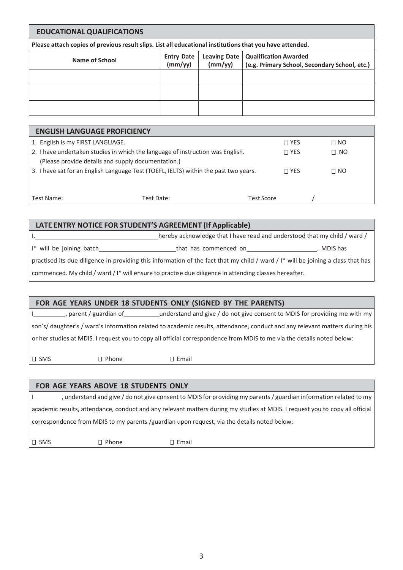### **EDUCATIONAL QUALIFICATIONS**

**Please attach copies of previousresultslips. List all educational institutionsthat you have attended.**

| Name of School | <b>Entry Date</b><br>(mm/yy) | Leaving Date<br>(mm/yy) | <b>Qualification Awarded</b><br>(e.g. Primary School, Secondary School, etc.) |
|----------------|------------------------------|-------------------------|-------------------------------------------------------------------------------|
|                |                              |                         |                                                                               |
|                |                              |                         |                                                                               |
|                |                              |                         |                                                                               |

| <b>ENGLISH LANGUAGE PROFICIENCY</b>                                                  |            |            |              |  |             |
|--------------------------------------------------------------------------------------|------------|------------|--------------|--|-------------|
| 1. English is my FIRST LANGUAGE.                                                     |            |            | $\sqcap$ yes |  | $\Box$ NO   |
| 2. I have undertaken studies in which the language of instruction was English.       |            |            | $\sqcap$ yes |  | $\sqcap$ No |
| (Please provide details and supply documentation.)                                   |            |            |              |  |             |
| 3. I have sat for an English Language Test (TOEFL, IELTS) within the past two years. |            |            | $\Box$ YES   |  | $\Box$ NO   |
|                                                                                      |            |            |              |  |             |
|                                                                                      |            |            |              |  |             |
| Test Name:                                                                           | Test Date: | Test Score |              |  |             |

| LATE ENTRY NOTICE FOR STUDENT'S AGREEMENT (If Applicable)                                                                                    |                                                                           |            |  |  |
|----------------------------------------------------------------------------------------------------------------------------------------------|---------------------------------------------------------------------------|------------|--|--|
|                                                                                                                                              | hereby acknowledge that I have read and understood that my child / ward / |            |  |  |
| I* will be joining batch                                                                                                                     | that has commenced on                                                     | . MDIS has |  |  |
| practised its due diligence in providing this information of the fact that my child / ward / $\mathsf{I}^*$ will be joining a class that has |                                                                           |            |  |  |
| commenced. My child / ward / I* will ensure to practise due diligence in attending classes hereafter.                                        |                                                                           |            |  |  |

### **FOR AGE YEARS UNDER 18 STUDENTS ONLY (SIGNED BY THE PARENTS)**

 $J$ , parent / guardian of sace ounderstand and give / do not give consent to MDIS for providing me with my son's/ daughter's / ward's information related to academic results, attendance, conduct and any relevant matters during his or her studies at MDIS. I request you to copy all official correspondence from MDIS to me via the details noted below:

□ SMS D Phone D Email

### **FOR AGE YEARS ABOVE 18 STUDENTS ONLY**

I understand and give / do not give consent to MDIS for providing my parents / guardian information related to my academic results, attendance, conduct and any relevant matters during my studies at MDIS. I request you to copy all official correspondence from MDIS to my parents /guardian upon request, via the details noted below:

 $\square$  SMS  $\square$  Phone  $\square$  Email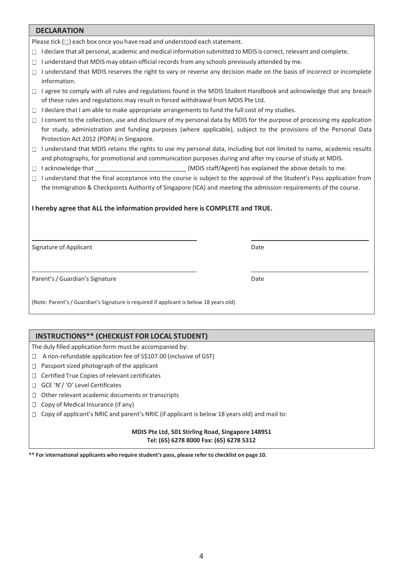| <b>DECLARATION</b>                                                                                                                                                                                                                                                                                                            |      |  |  |
|-------------------------------------------------------------------------------------------------------------------------------------------------------------------------------------------------------------------------------------------------------------------------------------------------------------------------------|------|--|--|
| Please tick $(\Box)$ each box once you have read and understood each statement.                                                                                                                                                                                                                                               |      |  |  |
| I declare that all personal, academic and medical information submitted to MDIS is correct, relevant and complete.                                                                                                                                                                                                            |      |  |  |
| $\Box$ I understand that MDIS may obtain official records from any schools previously attended by me.                                                                                                                                                                                                                         |      |  |  |
| □ I understand that MDIS reserves the right to vary or reverse any decision made on the basis of incorrect or incomplete                                                                                                                                                                                                      |      |  |  |
| information.                                                                                                                                                                                                                                                                                                                  |      |  |  |
| □ lagree to comply with all rules and regulations found in the MDIS Student Handbook and acknowledge that any breach<br>of these rules and regulations may result in forced withdrawal from MDIS Pte Ltd.                                                                                                                     |      |  |  |
| $\Box$ I declare that I am able to make appropriate arrangements to fund the full cost of my studies.                                                                                                                                                                                                                         |      |  |  |
| $\Box$ I consent to the collection, use and disclosure of my personal data by MDIS for the purpose of processing my application<br>for study, administration and funding purposes (where applicable), subject to the provisions of the Personal Data<br>Protection Act 2012 (PDPA) in Singapore.                              |      |  |  |
| □ I understand that MDIS retains the rights to use my personal data, including but not limited to name, academic results<br>and photographs, for promotional and communication purposes during and after my course of study at MDIS.                                                                                          |      |  |  |
| (MDIS staff/Agent) has explained the above details to me.<br>$\Box$ I acknowledge that                                                                                                                                                                                                                                        |      |  |  |
| □ I understand that the final acceptance into the course is subject to the approval of the Student's Pass application from<br>the Immigration & Checkpoints Authority of Singapore (ICA) and meeting the admission requirements of the course.<br>I hereby agree that ALL the information provided here is COMPLETE and TRUE. |      |  |  |
|                                                                                                                                                                                                                                                                                                                               |      |  |  |
| Signature of Applicant                                                                                                                                                                                                                                                                                                        | Date |  |  |
| Parent's / Guardian's Signature                                                                                                                                                                                                                                                                                               | Date |  |  |
| (Note: Parent's / Guardian's Signature is required if applicant is below 18 years old)                                                                                                                                                                                                                                        |      |  |  |
|                                                                                                                                                                                                                                                                                                                               |      |  |  |
| <b>INSTRUCTIONS** (CHECKLIST FOR LOCAL STUDENT)</b>                                                                                                                                                                                                                                                                           |      |  |  |
| The duly filled application form must be accompanied by:                                                                                                                                                                                                                                                                      |      |  |  |

A non-refundable application fee of S\$107.00 (inclusive of GST)

- $\Box$  Passport sized photograph of the applicant
- $\Box$  Certified True Copies of relevant certificates
- GCE 'N'/ 'O' Level Certificates
- $\Box$  Other relevant academic documents or transcripts
- $\Box$  Copy of Medical Insurance (if any)
- $\Box$  Copy of applicant's NRIC and parent's NRIC (if applicant is below 18 years old) and mail to:

#### **MDIS Pte Ltd, 501 Stirling Road, Singapore 148951 Tel: (65) 6278 8000 Fax: (65) 6278 5312**

**\*\* For international applicants who require student's pass, please refer to checklist on page 10.**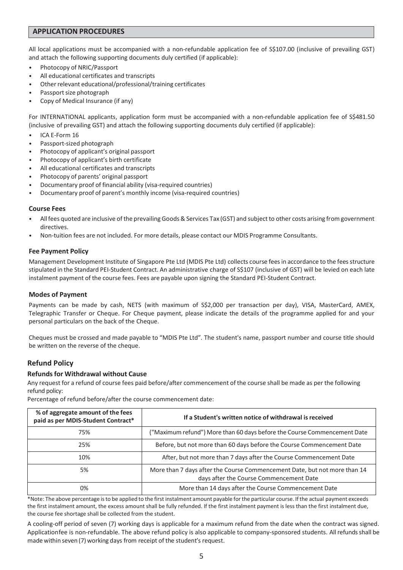### **APPLICATION PROCEDURES**

All local applications must be accompanied with a non-refundable application fee of S\$107.00 (inclusive of prevailing GST) and attach the following supporting documents duly certified (if applicable):

- Photocopy of NRIC/Passport
- All educational certificates and transcripts
- Other relevant educational/professional/training certificates
- Passport size photograph
- Copy of Medical Insurance (if any)

For INTERNATIONAL applicants, application form must be accompanied with a non-refundable application fee of S\$481.50 (inclusive of prevailing GST) and attach the following supporting documents duly certified (if applicable):

- ICA E-Form 16
- Passport-sized photograph
- Photocopy of applicant's original passport
- Photocopy of applicant's birth certificate
- All educational certificates and transcripts
- Photocopy of parents' original passport
- Documentary proof of financial ability (visa-required countries)
- Documentary proof of parent's monthly income (visa-required countries)

#### **Course Fees**

- Allfees quoted are inclusive of the prevailing Goods& Services Tax (GST) and subject to other costs arising fromgovernment directives.
- Non-tuition fees are not included. For more details, please contact our MDIS Programme Consultants.

#### **Fee Payment Policy**

Management Development Institute of Singapore Pte Ltd (MDIS Pte Ltd) collects course fees in accordance to the fees structure stipulated in the Standard PEI-Student Contract. An administrative charge of S\$107 (inclusive of GST) will be levied on each late instalment payment of the course fees. Fees are payable upon signing the Standard PEI-Student Contract.

#### **Modes of Payment**

Payments can be made by cash, NETS (with maximum of S\$2,000 per transaction per day), VISA, MasterCard, AMEX, Telegraphic Transfer or Cheque. For Cheque payment, please indicate the details of the programme applied for and your personal particulars on the back of the Cheque.

Cheques must be crossed and made payable to "MDIS Pte Ltd". The student's name, passport number and course title should be written on the reverse of the cheque.

#### **Refund Policy**

#### **Refundsfor Withdrawal without Cause**

Any request for a refund of course fees paid before/after commencement of the course shall be made as per the following refund policy:

Percentage of refund before/after the course commencement date:

| % of aggregate amount of the fees<br>paid as per MDIS-Student Contract* | If a Student's written notice of withdrawal is received                                                              |
|-------------------------------------------------------------------------|----------------------------------------------------------------------------------------------------------------------|
| 75%                                                                     | ("Maximum refund") More than 60 days before the Course Commencement Date                                             |
| 25%                                                                     | Before, but not more than 60 days before the Course Commencement Date                                                |
| 10%                                                                     | After, but not more than 7 days after the Course Commencement Date                                                   |
| 5%                                                                      | More than 7 days after the Course Commencement Date, but not more than 14<br>days after the Course Commencement Date |
| 0%                                                                      | More than 14 days after the Course Commencement Date                                                                 |

\*Note: The above percentage is to be applied to the first instalment amount payable for the particular course. If the actual payment exceeds the first instalment amount, the excess amount shall be fully refunded. If the first instalment payment is less than the first instalment due, the course fee shortage shall be collected from the student.

A cooling-off period of seven (7) working days is applicable for a maximum refund from the date when the contract was signed. Applicationfee is non-refundable. The above refund policy is also applicable to company-sponsored students. Allrefundsshall be made within seven (7) working days from receipt of the student's request.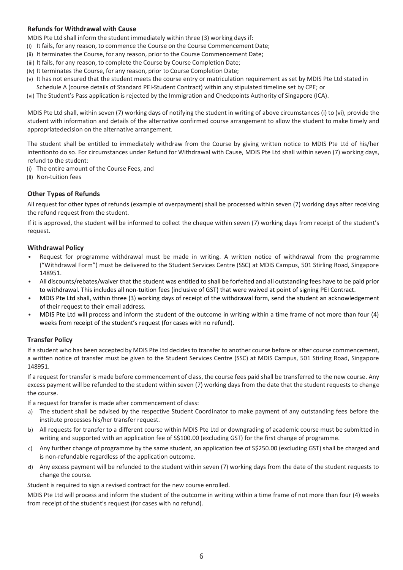### **Refundsfor Withdrawal with Cause**

MDIS Pte Ltd shall inform the student immediately within three (3) working days if:

- (i) It fails, for any reason, to commence the Course on the Course Commencement Date;
- (ii) It terminates the Course, for any reason, prior to the Course Commencement Date;
- (iii) It fails, for any reason, to complete the Course by Course Completion Date;
- (iv) It terminates the Course, for any reason, prior to Course Completion Date;
- (v) It has not ensured that the student meets the course entry or matriculation requirement as set by MDIS Pte Ltd stated in Schedule A (course details of Standard PEI-Student Contract) within any stipulated timeline set by CPE; or
- (vi) The Student's Pass application is rejected by the Immigration and Checkpoints Authority of Singapore (ICA).

MDIS Pte Ltd shall, within seven (7) working days of notifying the student in writing of above circumstances (i) to (vi), provide the student with information and details of the alternative confirmed course arrangement to allow the student to make timely and appropriatedecision on the alternative arrangement.

The student shall be entitled to immediately withdraw from the Course by giving written notice to MDIS Pte Ltd of his/her intentionto do so. For circumstances under Refund for Withdrawal with Cause, MDIS Pte Ltd shall within seven (7) working days, refund to the student:

- (i) The entire amount of the Course Fees, and
- (ii) Non-tuition fees

### **Other Types of Refunds**

All request for other types of refunds (example of overpayment) shall be processed within seven (7) working days after receiving the refund request from the student.

If it is approved, the student will be informed to collect the cheque within seven (7) working days from receipt of the student's request.

#### **Withdrawal Policy**

- Request for programme withdrawal must be made in writing. A written notice of withdrawal from the programme ("Withdrawal Form") must be delivered to the Student Services Centre (SSC) at MDIS Campus, 501 Stirling Road, Singapore 148951.
- All discounts/rebates/waiver that the student was entitled to shall be forfeited and all outstanding fees have to be paid prior to withdrawal. This includes all non-tuition fees (inclusive of GST) that were waived at point of signing PEI Contract.
- MDIS Pte Ltd shall, within three (3) working days of receipt of the withdrawal form, send the student an acknowledgement of their request to their email address.
- MDIS Pte Ltd will process and inform the student of the outcome in writing within a time frame of not more than four (4) weeks from receipt of the student's request (for cases with no refund).

#### **Transfer Policy**

If a student who has been accepted by MDIS Pte Ltd decides to transfer to another course before or after course commencement, a written notice of transfer must be given to the Student Services Centre (SSC) at MDIS Campus, 501 Stirling Road, Singapore 148951.

If a request for transfer is made before commencement of class, the course fees paid shall be transferred to the new course. Any excess payment will be refunded to the student within seven (7) working days from the date that the student requests to change the course.

If a request for transfer is made after commencement of class:

- a) The student shall be advised by the respective Student Coordinator to make payment of any outstanding fees before the institute processes his/her transfer request.
- b) All requests for transfer to a different course within MDIS Pte Ltd or downgrading of academic course must be submitted in writing and supported with an application fee of S\$100.00 (excluding GST) for the first change of programme.
- c) Any further change of programme by the same student, an application fee of S\$250.00 (excluding GST) shall be charged and is non-refundable regardless of the application outcome.
- d) Any excess payment will be refunded to the student within seven (7) working days from the date of the student requests to change the course.

Student is required to sign a revised contract for the new course enrolled.

MDIS Pte Ltd will process and inform the student of the outcome in writing within a time frame of not more than four (4) weeks from receipt of the student's request (for cases with no refund).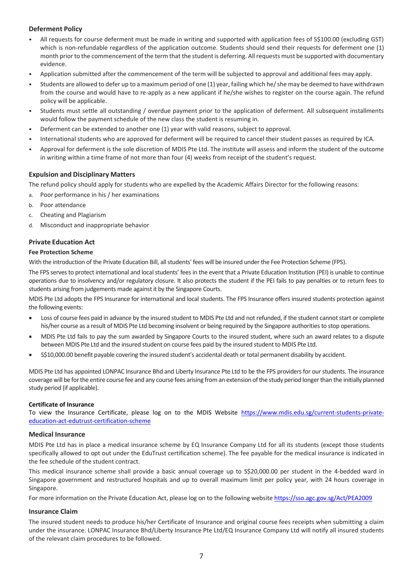### **Deferment Policy**

- All requests for course deferment must be made in writing and supported with application fees of S\$100.00 (excluding GST) which is non-refundable regardless of the application outcome. Students should send their requests for deferment one (1) month prior to the commencement of the term that the student is deferring. All requests must be supported with documentary evidence.
- Application submitted after the commencement of the term will be subjected to approval and additional fees may apply.
- Students are allowed to defer up to a maximum period of one (1) year, failing which he/ she may be deemed to have withdrawn from the course and would have to re-apply as a new applicant if he/she wishes to register on the course again. The refund policy will be applicable.
- Students must settle all outstanding / overdue payment prior to the application of deferment. All subsequent installments would follow the payment schedule of the new class the student is resuming in.
- Deferment can be extended to another one (1) year with valid reasons, subject to approval.
- International students who are approved for deferment will be required to cancel their student passes as required by ICA.
- Approval for deferment is the sole discretion of MDIS Pte Ltd. The institute will assess and inform the student of the outcome in writing within a time frame of not more than four (4) weeks from receipt of the student's request.

#### **Expulsion and Disciplinary Matters**

The refund policy should apply for students who are expelled by the Academic Affairs Director for the following reasons:

- a. Poor performance in his / her examinations
- b. Poor attendance
- c. Cheating and Plagiarism
- d. Misconduct and inappropriate behavior

### **Private Education Act**

#### **Fee Protection Scheme**

With the introduction of the Private Education Bill, all students' fees will be insured under the Fee Protection Scheme (FPS).

The FPS serves to protect international and local students' fees in the event that a Private Education Institution (PEI) is unable to continue operations due to insolvency and/or regulatory closure. It also protects the student if the PEI fails to pay penalties or to return fees to students arising from judgements made against it by the Singapore Courts.

MDIS Pte Ltd adopts the FPS Insurance for international and local students. The FPS Insurance offers insured students protection against the following events:

- Loss of course fees paid in advance by the insured student to MDIS Pte Ltd and not refunded, if the student cannot start or complete his/her course as a result of MDIS Pte Ltd becoming insolvent or being required by the Singapore authorities to stop operations.
- MDIS Pte Ltd fails to pay the sum awarded by Singapore Courts to the insured student, where such an award relates to a dispute between MDIS Pte Ltd and the insured student on course fees paid by the insured student to MDIS Pte Ltd.
- S\$10,000.00 benefit payable covering the insured student's accidental death or total permanent disability by accident.

MDIS Pte Ltd has appointed LONPAC Insurance Bhd and Liberty Insurance Pte Ltd to be the FPS providers for our students. The insurance coverage will be for the entire course fee and any course fees arising from an extension of the study period longer than the initially planned study period (if applicable).

#### **Certificate of Insurance**

To view the Insurance Certificate, please log on to the MDIS Website [https://www.mdis.edu.sg/current-students-private](https://www.mdis.edu.sg/current-students-private-education-act-edutrust-certification-scheme)[education-act-edutrust-certification-scheme](https://www.mdis.edu.sg/current-students-private-education-act-edutrust-certification-scheme)

#### **Medical Insurance**

MDIS Pte Ltd has in place a medical insurance scheme by EQ Insurance Company Ltd for all its students (except those students specifically allowed to opt out under the EduTrust certification scheme). The fee payable for the medical insurance is indicated in the fee schedule of the student contract.

This medical insurance scheme shall provide a basic annual coverage up to S\$20,000.00 per student in the 4-bedded ward in Singapore government and restructured hospitals and up to overall maximum limit per policy year, with 24 hours coverage in Singapore.

For more information on the Private Education Act, please log on to the following websit[e https://sso.agc.gov.sg/Act/PEA2009](https://sso.agc.gov.sg/Act/PEA2009)

#### **Insurance Claim**

The insured student needs to produce his/her Certificate of Insurance and original course fees receipts when submitting a claim under the insurance. LONPAC Insurance Bhd/Liberty Insurance Pte Ltd/EQ Insurance Company Ltd will notify all insured students of the relevant claim procedures to be followed.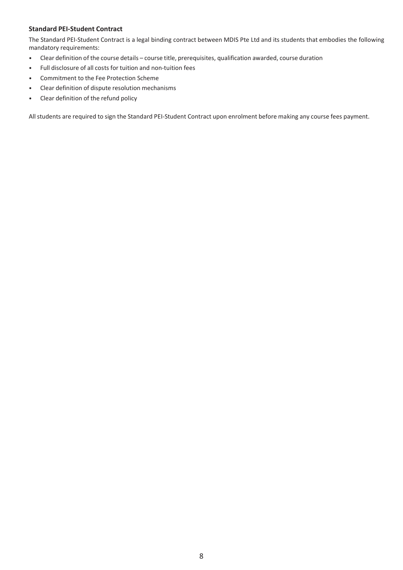### **Standard PEI-Student Contract**

The Standard PEI-Student Contract is a legal binding contract between MDIS Pte Ltd and its students that embodies the following mandatory requirements:

- Clear definition of the course details course title, prerequisites, qualification awarded, course duration
- Full disclosure of all costs for tuition and non-tuition fees
- Commitment to the Fee Protection Scheme
- Clear definition of dispute resolution mechanisms
- Clear definition of the refund policy

All students are required to sign the Standard PEI-Student Contract upon enrolment before making any course fees payment.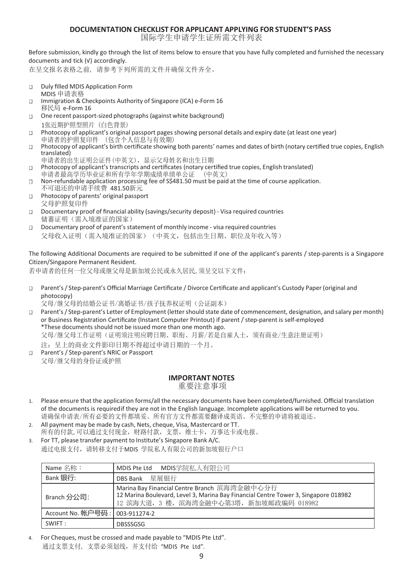### **DOCUMENTATION CHECKLIST FOR APPLICANT APPLYING FOR STUDENT'S PASS**

国际学生申请学生证所需文件列表

Before submission, kindly go through the list of items below to ensure that you have fully completed and furnished the necessary documents and tick (√) accordingly.

在呈交报名表格之前, 请参考下列所需的文件并确保文件齐全。

- Duly filled MDIS Application Form  $\Box$ MDIS 申请表格
- $\Box$ Immigration & Checkpoints Authority of Singapore (ICA) e-Form 16 移民局 e-Form 16
- One recent passport-sized photographs (against white background)  $\Box$ 1张近期护照型照片 (白色背景)
- Photocopy of applicant's original passport pages showing personal details and expiry date (at least one year)  $\Box$ 申请者的护照复印件 (包含个人信息与有效期)
- Photocopy of applicant's birth certificate showing both parents' names and dates of birth (notary certified true copies, English  $\Box$ translated)
- 申请者的出生证明公证件(中英文),显示父母姓名和出生日期
- Photocopy of applicant's transcripts and certificates (notary certified true copies, English translated)  $\Box$ 申请者最高学历毕业证和所有学年学期成绩单绩单公证 (中英文)
- Non-refundable application processing fee of S\$481.50 must be paid at the time of course application.  $\Box$ 不可退还的申请手续费 481.50新元
- Photocopy of parents' original passport  $\Box$ 父母护照复印件
- Documentary proof of financial ability (savings/security deposit) Visa required countries  $\Box$ 储蓄证明(需入境准证的国家)
- Documentary proof of parent's statement of monthly income visa required countries  $\Box$ 父母收入证明(需入境准证的国家)(中英文,包括出生日期、职位及年收入等)

The following Additional Documents are required to be submitted if one of the applicant's parents / step-parents is a Singapore Citizen/Singapore Permanent Resident.

若申请者的任何一位父母或继父母是新加坡公民或永久居民,须呈交以下文件:

Parent's/ Step-parent's Official Marriage Certificate / Divorce Certificate and applicant's Custody Paper (original and  $\Box$ photocopy)

父母/继父母的结婚公证书/离婚证书/孩子抚养权证明(公证副本)

- Parent's / Step-parent's Letter of Employment (letter should state date of commencement, designation, and salary per month)  $\Box$ or Business Registration Certificate (Instant Computer Printout) if parent / step-parent is self-employed \*These documents should not be issued more than one month ago. 父母/继父母工作证明(证明须注明应聘日期、职衔、月薪/若是自雇人士,须有商业/生意注册证明) 注:呈上的商业文件影印日期不得超过申请日期的一个月。
- Parent's / Step-parent's NRIC or Passport  $\Box$ 父母/继父母的身份证或护照

### **IMPORTANT NOTES**

重要注意事项

- 1. Please ensure that the application forms/all the necessary documents have been completed/furnished. Official translation of the documents is requiredif they are not in the English language. Incomplete applications will be returned to you. 请确保申请表/所有必要的文件都填妥。所有官方文件都需要翻译成英语。不完整的申请将被退还。
- 2. All payment may be made by cash, Nets, cheque, Visa, Mastercard or TT. 所有的付款,可以通过支付现金,财路付款,支票,维士卡,万事达卡或电报。
- 3. For TT, please transfer payment to Institute's Singapore Bank A/C. 通过电报支付,请转移支付于MDIS 学院私人有限公司的新加坡银行户口

| Name 名称:          | MDIS学院私人有限公司<br>MDIS Pte Ltd                                                                                                                                                    |  |  |  |
|-------------------|---------------------------------------------------------------------------------------------------------------------------------------------------------------------------------|--|--|--|
| Bank 银行:          | DBS Bank 星展银行                                                                                                                                                                   |  |  |  |
| Branch 分公司:       | Marina Bay Financial Centre Branch 滨海湾金融中心分行<br>12 Marina Boulevard, Level 3, Marina Bay Financial Centre Tower 3, Singapore 018982<br>12 滨海大道, 3 楼, 滨海湾金融中心第3塔, 新加坡邮政编码 018982 |  |  |  |
| Account No. 帐户号码: | 003-911274-2                                                                                                                                                                    |  |  |  |
| SWIFT:            | <b>DBSSSGSG</b>                                                                                                                                                                 |  |  |  |

4. For Cheques, must be crossed and made payable to "MDIS Pte Ltd". 通过支票支付, 支票必须划线,并支付给 "MDIS Pte Ltd".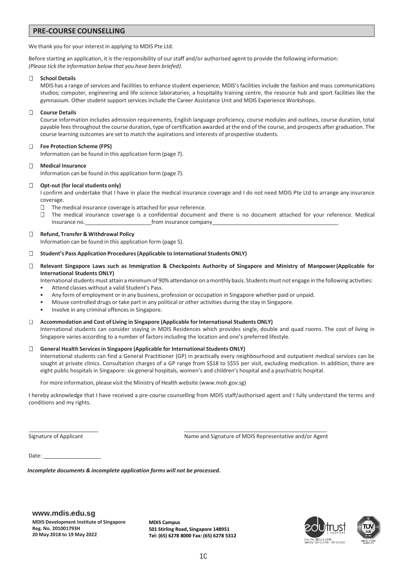#### **PRE-COURSE COUNSELLING**

We thank you for your interest in applying to MDIS Pte Ltd.

Before starting an application, it is the responsibility of our staff and/or authorised agent to provide the following information: *(Please tick the information below that you have been briefed).*

#### **School Details**  $\Box$

MDIS has a range of services and facilities to enhance student experience; MDIS's facilities include the fashion and mass communications studios; computer, engineering and life science laboratories; a hospitality training centre, the resource hub and sport facilities like the gymnasium. Other student support services include the Career Assistance Unit and MDIS Experience Workshops.

#### $\Box$ **Course Details**

Course information includes admission requirements, English language proficiency, course modules and outlines, course duration, total payable feesthroughout the course duration, type of certification awarded at the end of the course, and prospects after graduation. The course learning outcomes are set to match the aspirations and interests of prospective students.

#### $\Box$ **Fee Protection Scheme (FPS)**

Information can be found in this application form (page 7).

#### $\Box$ **Medical Insurance**

Information can be found in this application form (page 7).

#### $\Box$ **Opt-out (for local students only)**

I confirm and undertake that I have in place the medical insurance coverage and I do not need MDIS Pte Ltd to arrange any insurance coverage.

- $\Box$ The medical insurance coverage is attached for your reference.
- $\Box$  The medical insurance coverage is a confidential document and there is no document attached for your reference. Medical insurance no. The insurance company

#### **Refund, Transfer & Withdrawal Policy**  $\Box$

Information can be found in this application form (page 5).

#### $\Box$ **Student's Pass Application Procedures(Applicable to International Students ONLY)**

Relevant Singapore Laws such as Immigration & Checkpoints Authority of Singapore and Ministry of Manpower (Applicable for  $\Box$ **International Students ONLY)**

International students must attain a minimum of 90% attendance on a monthly basis. Students must not engage in the following activities:

- Attend classes without a valid Student's Pass.
- Any form of employment or in any business, profession or occupation in Singapore whether paid or unpaid.
- Misuse controlled drugs or take part in any political or other activities during the stay in Singapore.
- Involve in any criminal offences in Singapore.

#### **Accommodation and Cost of Living in Singapore (Applicable for International Students ONLY)**

International students can consider staying in MDIS Residences which provides single, double and quad rooms. The cost of living in Singapore varies according to a number of factors including the location and one's preferred lifestyle.

#### **General Health Servicesin Singapore (Applicable for International Students ONLY)**  $\Box$

International students can find a General Practitioner (GP) in practically every neighbourhood and outpatient medical services can be sought at private clinics. Consultation charges of a GP range from S\$18 to S\$55 per visit, excluding medication. In addition, there are eight public hospitals in Singapore: six general hospitals, women's and children's hospital and a psychiatric hospital.

For more information, please visit the Ministry of Health website (www.moh.gov.sg)

I hereby acknowledge that I have received a pre-course counselling from MDIS staff/authorised agent and I fully understand the terms and conditions and my rights.

Signature of Applicant Name and Signature of MDIS Representative and/or Agent

Date:

*Incomplete documents & incomplete application forms will not be processed.*

**MDIS Campus 501 Stirling Road, Singapore 148951 Tel: (65) 6278 8000 Fax: (65) 6278 5312**